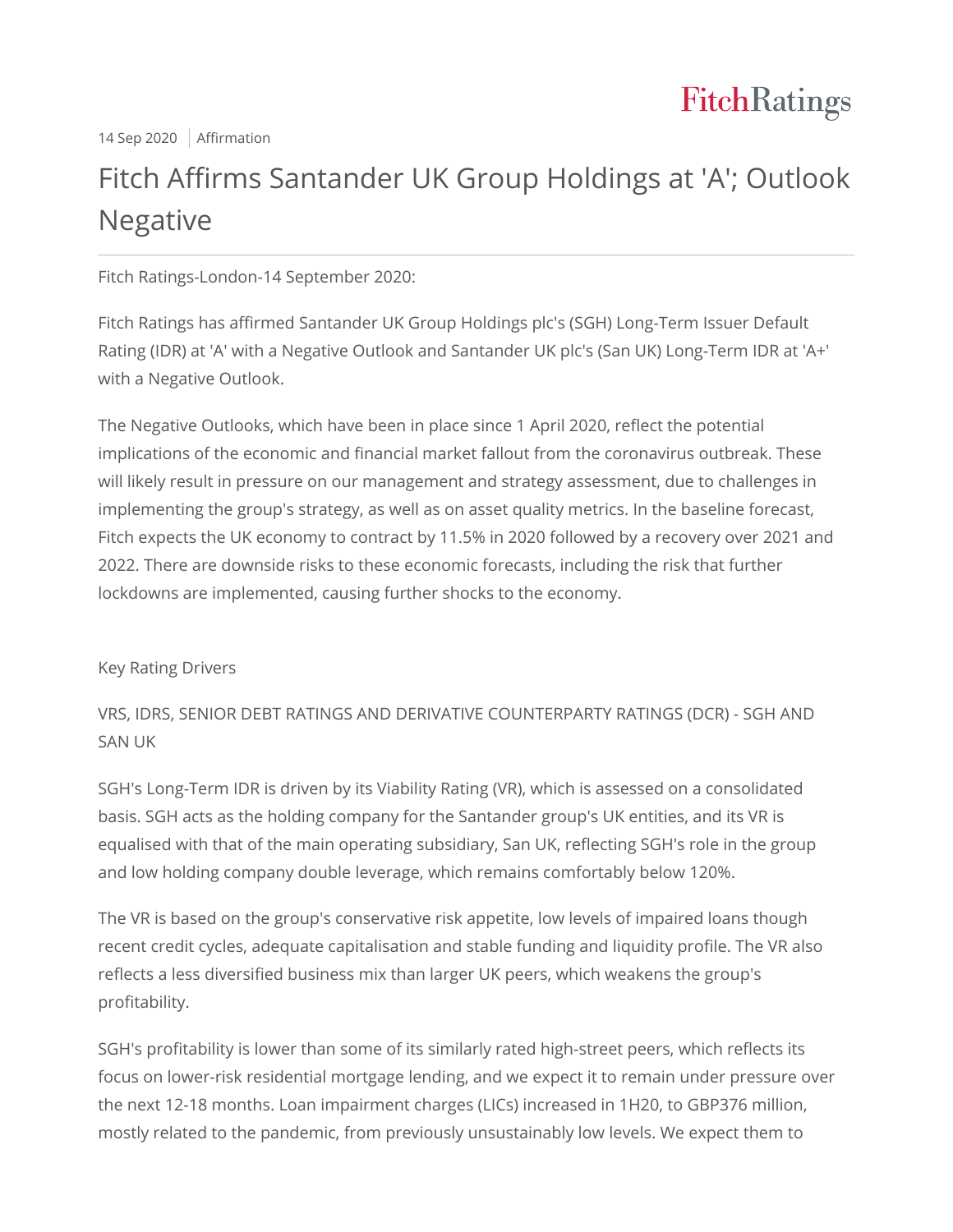14 Sep 2020 | Affirmation

# Fitch Affirms Santander UK Group Holdings at 'A'; Outlook Negative

Fitch Ratings-London-14 September 2020:

Fitch Ratings has affirmed Santander UK Group Holdings plc's (SGH) Long-Term Issuer Default Rating (IDR) at 'A' with a Negative Outlook and Santander UK plc's (San UK) Long-Term IDR at 'A+' with a Negative Outlook.

The Negative Outlooks, which have been in place since 1 April 2020, reflect the potential implications of the economic and financial market fallout from the coronavirus outbreak. These will likely result in pressure on our management and strategy assessment, due to challenges in implementing the group's strategy, as well as on asset quality metrics. In the baseline forecast, Fitch expects the UK economy to contract by 11.5% in 2020 followed by a recovery over 2021 and 2022. There are downside risks to these economic forecasts, including the risk that further lockdowns are implemented, causing further shocks to the economy.

#### Key Rating Drivers

VRS, IDRS, SENIOR DEBT RATINGS AND DERIVATIVE COUNTERPARTY RATINGS (DCR) - SGH AND SAN UK

SGH's Long-Term IDR is driven by its Viability Rating (VR), which is assessed on a consolidated basis. SGH acts as the holding company for the Santander group's UK entities, and its VR is equalised with that of the main operating subsidiary, San UK, reflecting SGH's role in the group and low holding company double leverage, which remains comfortably below 120%.

The VR is based on the group's conservative risk appetite, low levels of impaired loans though recent credit cycles, adequate capitalisation and stable funding and liquidity profile. The VR also reflects a less diversified business mix than larger UK peers, which weakens the group's profitability.

SGH's profitability is lower than some of its similarly rated high-street peers, which reflects its focus on lower-risk residential mortgage lending, and we expect it to remain under pressure over the next 12-18 months. Loan impairment charges (LICs) increased in 1H20, to GBP376 million, mostly related to the pandemic, from previously unsustainably low levels. We expect them to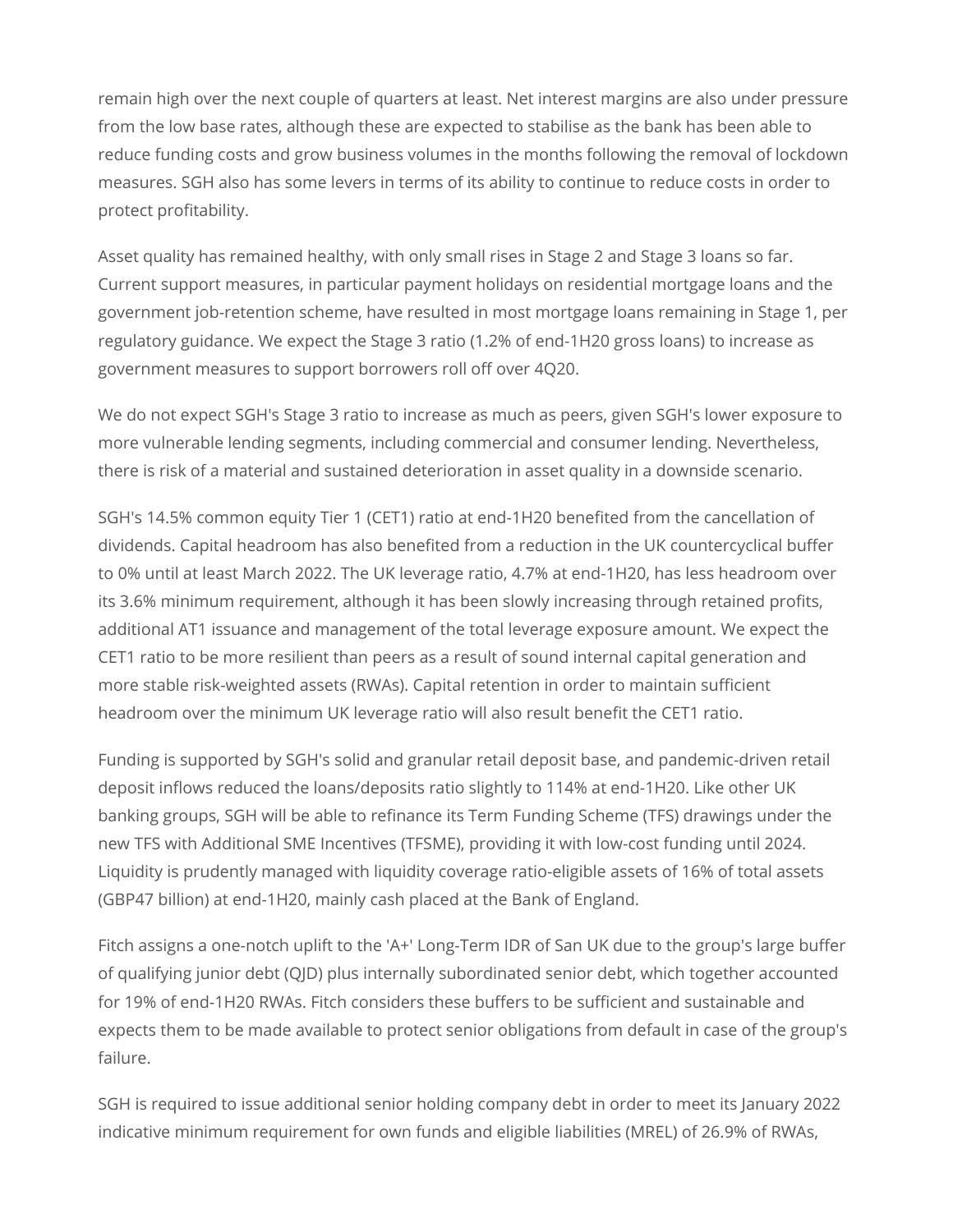remain high over the next couple of quarters at least. Net interest margins are also under pressure from the low base rates, although these are expected to stabilise as the bank has been able to reduce funding costs and grow business volumes in the months following the removal of lockdown measures. SGH also has some levers in terms of its ability to continue to reduce costs in order to protect profitability.

Asset quality has remained healthy, with only small rises in Stage 2 and Stage 3 loans so far. Current support measures, in particular payment holidays on residential mortgage loans and the government job-retention scheme, have resulted in most mortgage loans remaining in Stage 1, per regulatory guidance. We expect the Stage 3 ratio (1.2% of end-1H20 gross loans) to increase as government measures to support borrowers roll off over 4Q20.

We do not expect SGH's Stage 3 ratio to increase as much as peers, given SGH's lower exposure to more vulnerable lending segments, including commercial and consumer lending. Nevertheless, there is risk of a material and sustained deterioration in asset quality in a downside scenario.

SGH's 14.5% common equity Tier 1 (CET1) ratio at end-1H20 benefited from the cancellation of dividends. Capital headroom has also benefited from a reduction in the UK countercyclical buffer to 0% until at least March 2022. The UK leverage ratio, 4.7% at end-1H20, has less headroom over its 3.6% minimum requirement, although it has been slowly increasing through retained profits, additional AT1 issuance and management of the total leverage exposure amount. We expect the CET1 ratio to be more resilient than peers as a result of sound internal capital generation and more stable risk-weighted assets (RWAs). Capital retention in order to maintain sufficient headroom over the minimum UK leverage ratio will also result benefit the CET1 ratio.

Funding is supported by SGH's solid and granular retail deposit base, and pandemic-driven retail deposit inflows reduced the loans/deposits ratio slightly to 114% at end-1H20. Like other UK banking groups, SGH will be able to refinance its Term Funding Scheme (TFS) drawings under the new TFS with Additional SME Incentives (TFSME), providing it with low-cost funding until 2024. Liquidity is prudently managed with liquidity coverage ratio-eligible assets of 16% of total assets (GBP47 billion) at end-1H20, mainly cash placed at the Bank of England.

Fitch assigns a one-notch uplift to the 'A+' Long-Term IDR of San UK due to the group's large buffer of qualifying junior debt (QJD) plus internally subordinated senior debt, which together accounted for 19% of end-1H20 RWAs. Fitch considers these buffers to be sufficient and sustainable and expects them to be made available to protect senior obligations from default in case of the group's failure.

SGH is required to issue additional senior holding company debt in order to meet its January 2022 indicative minimum requirement for own funds and eligible liabilities (MREL) of 26.9% of RWAs,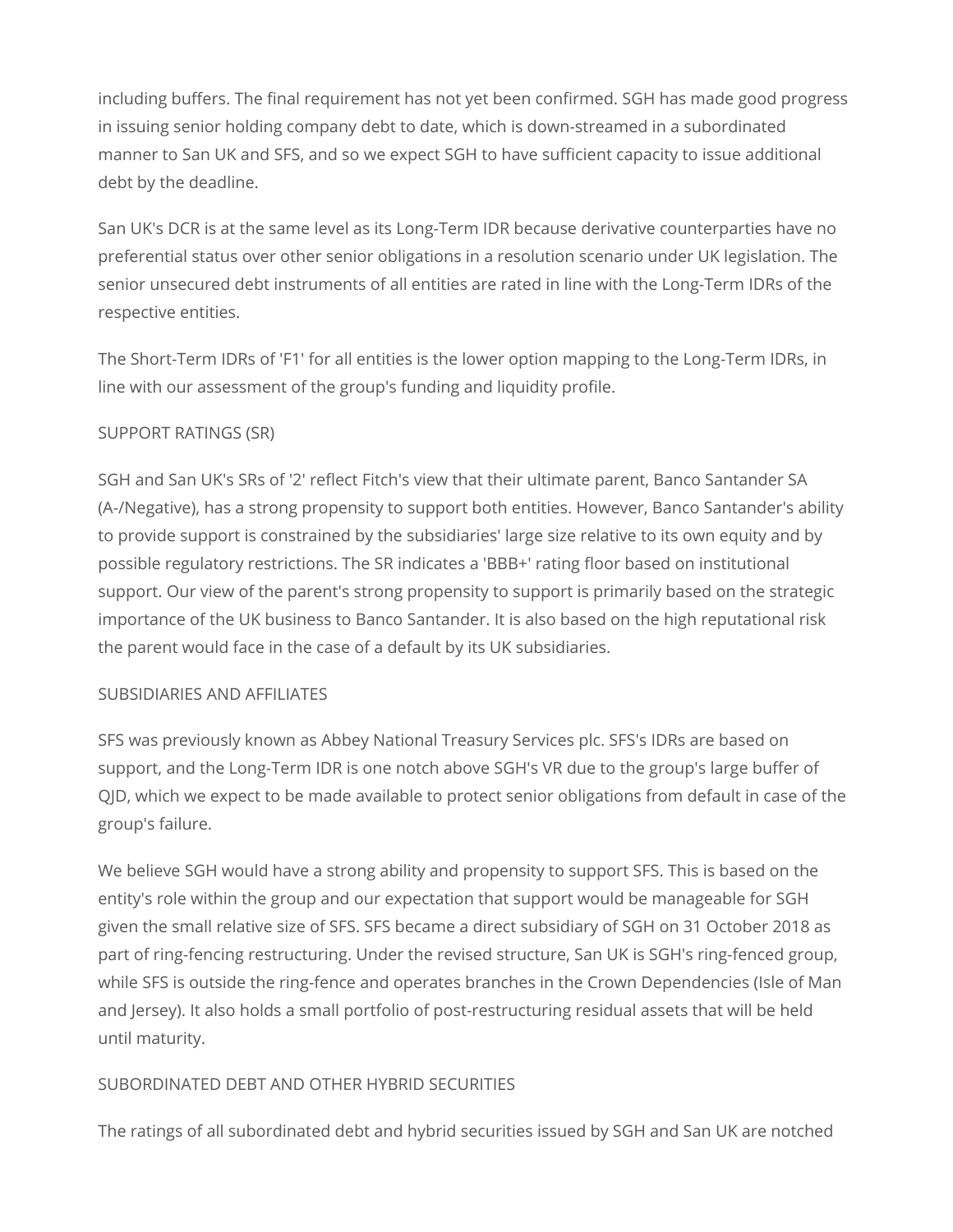including buffers. The final requirement has not yet been confirmed. SGH has made good progress in issuing senior holding company debt to date, which is down-streamed in a subordinated manner to San UK and SFS, and so we expect SGH to have sufficient capacity to issue additional debt by the deadline.

San UK's DCR is at the same level as its Long-Term IDR because derivative counterparties have no preferential status over other senior obligations in a resolution scenario under UK legislation. The senior unsecured debt instruments of all entities are rated in line with the Long-Term IDRs of the respective entities.

The Short-Term IDRs of 'F1' for all entities is the lower option mapping to the Long-Term IDRs, in line with our assessment of the group's funding and liquidity profile.

## SUPPORT RATINGS (SR)

SGH and San UK's SRs of '2' reflect Fitch's view that their ultimate parent, Banco Santander SA (A-/Negative), has a strong propensity to support both entities. However, Banco Santander's ability to provide support is constrained by the subsidiaries' large size relative to its own equity and by possible regulatory restrictions. The SR indicates a 'BBB+' rating floor based on institutional support. Our view of the parent's strong propensity to support is primarily based on the strategic importance of the UK business to Banco Santander. It is also based on the high reputational risk the parent would face in the case of a default by its UK subsidiaries.

#### SUBSIDIARIES AND AFFILIATES

SFS was previously known as Abbey National Treasury Services plc. SFS's IDRs are based on support, and the Long-Term IDR is one notch above SGH's VR due to the group's large buffer of QJD, which we expect to be made available to protect senior obligations from default in case of the group's failure.

We believe SGH would have a strong ability and propensity to support SFS. This is based on the entity's role within the group and our expectation that support would be manageable for SGH given the small relative size of SFS. SFS became a direct subsidiary of SGH on 31 October 2018 as part of ring-fencing restructuring. Under the revised structure, San UK is SGH's ring-fenced group, while SFS is outside the ring-fence and operates branches in the Crown Dependencies (Isle of Man and Jersey). It also holds a small portfolio of post-restructuring residual assets that will be held until maturity.

#### SUBORDINATED DEBT AND OTHER HYBRID SECURITIES

The ratings of all subordinated debt and hybrid securities issued by SGH and San UK are notched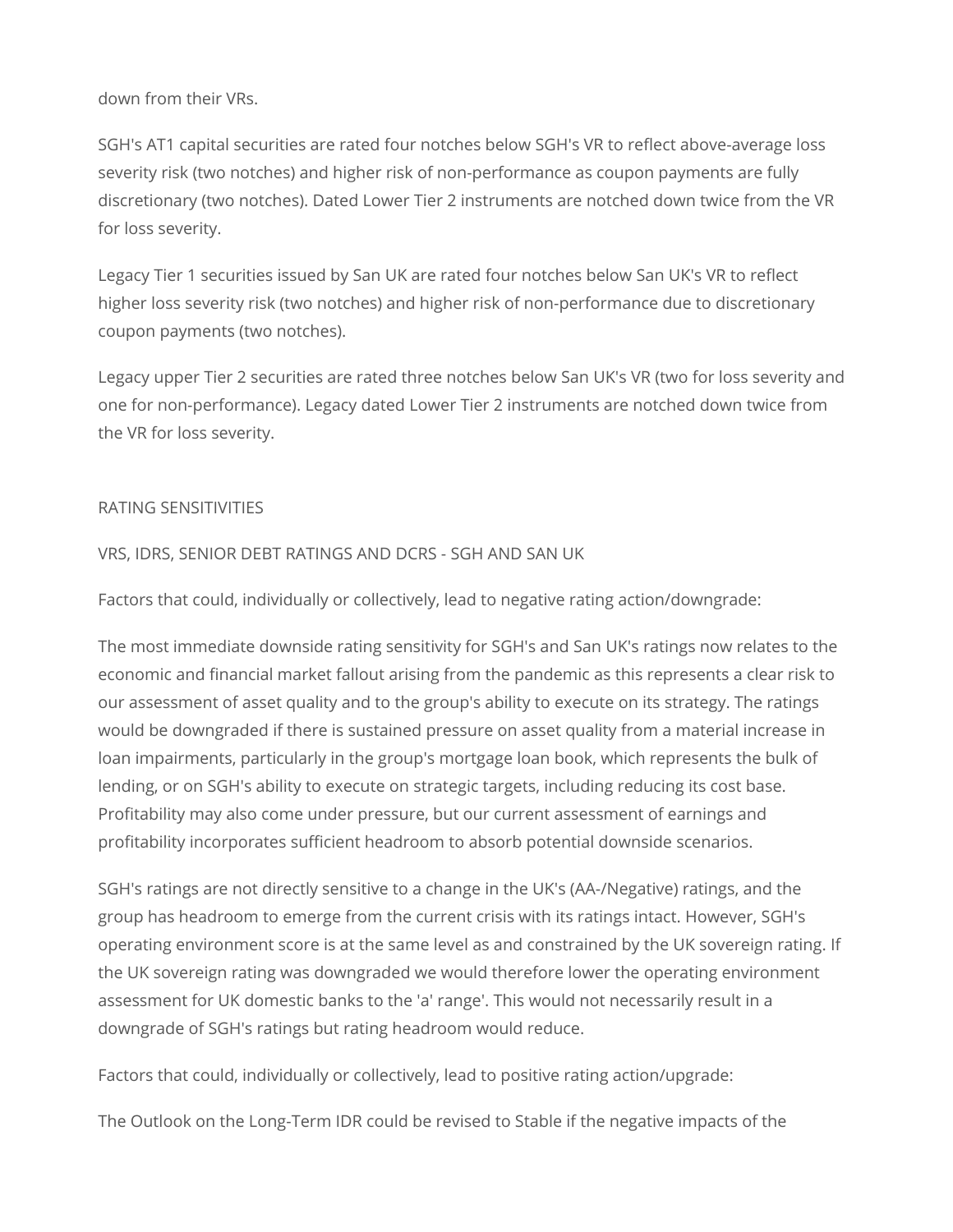down from their VRs.

SGH's AT1 capital securities are rated four notches below SGH's VR to reflect above-average loss severity risk (two notches) and higher risk of non-performance as coupon payments are fully discretionary (two notches). Dated Lower Tier 2 instruments are notched down twice from the VR for loss severity.

Legacy Tier 1 securities issued by San UK are rated four notches below San UK's VR to reflect higher loss severity risk (two notches) and higher risk of non-performance due to discretionary coupon payments (two notches).

Legacy upper Tier 2 securities are rated three notches below San UK's VR (two for loss severity and one for non-performance). Legacy dated Lower Tier 2 instruments are notched down twice from the VR for loss severity.

#### RATING SENSITIVITIES

## VRS, IDRS, SENIOR DEBT RATINGS AND DCRS - SGH AND SAN UK

Factors that could, individually or collectively, lead to negative rating action/downgrade:

The most immediate downside rating sensitivity for SGH's and San UK's ratings now relates to the economic and financial market fallout arising from the pandemic as this represents a clear risk to our assessment of asset quality and to the group's ability to execute on its strategy. The ratings would be downgraded if there is sustained pressure on asset quality from a material increase in loan impairments, particularly in the group's mortgage loan book, which represents the bulk of lending, or on SGH's ability to execute on strategic targets, including reducing its cost base. Profitability may also come under pressure, but our current assessment of earnings and profitability incorporates sufficient headroom to absorb potential downside scenarios.

SGH's ratings are not directly sensitive to a change in the UK's (AA-/Negative) ratings, and the group has headroom to emerge from the current crisis with its ratings intact. However, SGH's operating environment score is at the same level as and constrained by the UK sovereign rating. If the UK sovereign rating was downgraded we would therefore lower the operating environment assessment for UK domestic banks to the 'a' range'. This would not necessarily result in a downgrade of SGH's ratings but rating headroom would reduce.

Factors that could, individually or collectively, lead to positive rating action/upgrade:

The Outlook on the Long-Term IDR could be revised to Stable if the negative impacts of the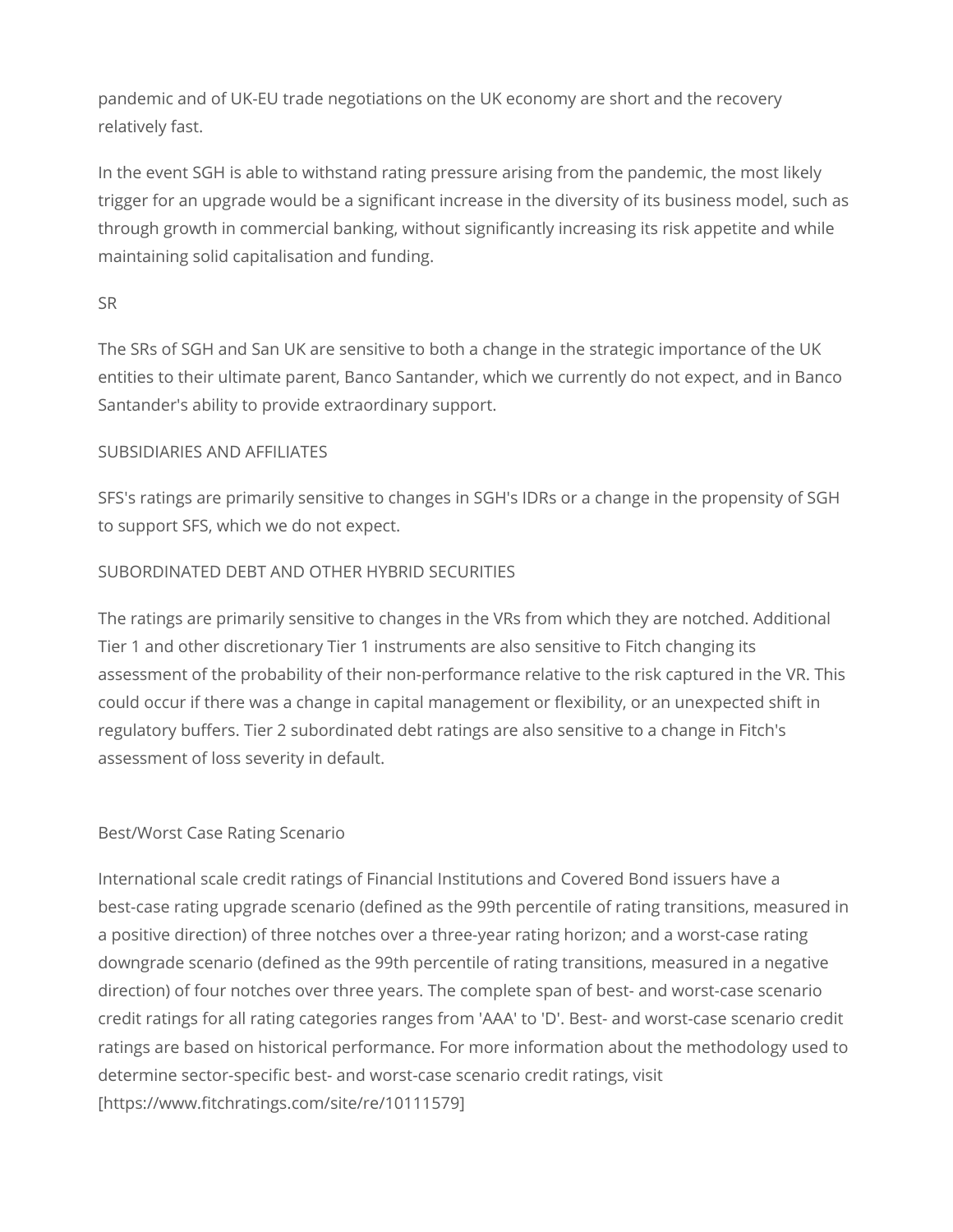pandemic and of UK-EU trade negotiations on the UK economy are short and the recovery relatively fast.

In the event SGH is able to withstand rating pressure arising from the pandemic, the most likely trigger for an upgrade would be a significant increase in the diversity of its business model, such as through growth in commercial banking, without significantly increasing its risk appetite and while maintaining solid capitalisation and funding.

# SR

The SRs of SGH and San UK are sensitive to both a change in the strategic importance of the UK entities to their ultimate parent, Banco Santander, which we currently do not expect, and in Banco Santander's ability to provide extraordinary support.

## SUBSIDIARIES AND AFFILIATES

SFS's ratings are primarily sensitive to changes in SGH's IDRs or a change in the propensity of SGH to support SFS, which we do not expect.

# SUBORDINATED DEBT AND OTHER HYBRID SECURITIES

The ratings are primarily sensitive to changes in the VRs from which they are notched. Additional Tier 1 and other discretionary Tier 1 instruments are also sensitive to Fitch changing its assessment of the probability of their non-performance relative to the risk captured in the VR. This could occur if there was a change in capital management or flexibility, or an unexpected shift in regulatory buffers. Tier 2 subordinated debt ratings are also sensitive to a change in Fitch's assessment of loss severity in default.

# Best/Worst Case Rating Scenario

International scale credit ratings of Financial Institutions and Covered Bond issuers have a best-case rating upgrade scenario (defined as the 99th percentile of rating transitions, measured in a positive direction) of three notches over a three-year rating horizon; and a worst-case rating downgrade scenario (defined as the 99th percentile of rating transitions, measured in a negative direction) of four notches over three years. The complete span of best- and worst-case scenario credit ratings for all rating categories ranges from 'AAA' to 'D'. Best- and worst-case scenario credit ratings are based on historical performance. For more information about the methodology used to determine sector-specific best- and worst-case scenario credit ratings, visit [https://www.fitchratings.com/site/re/10111579]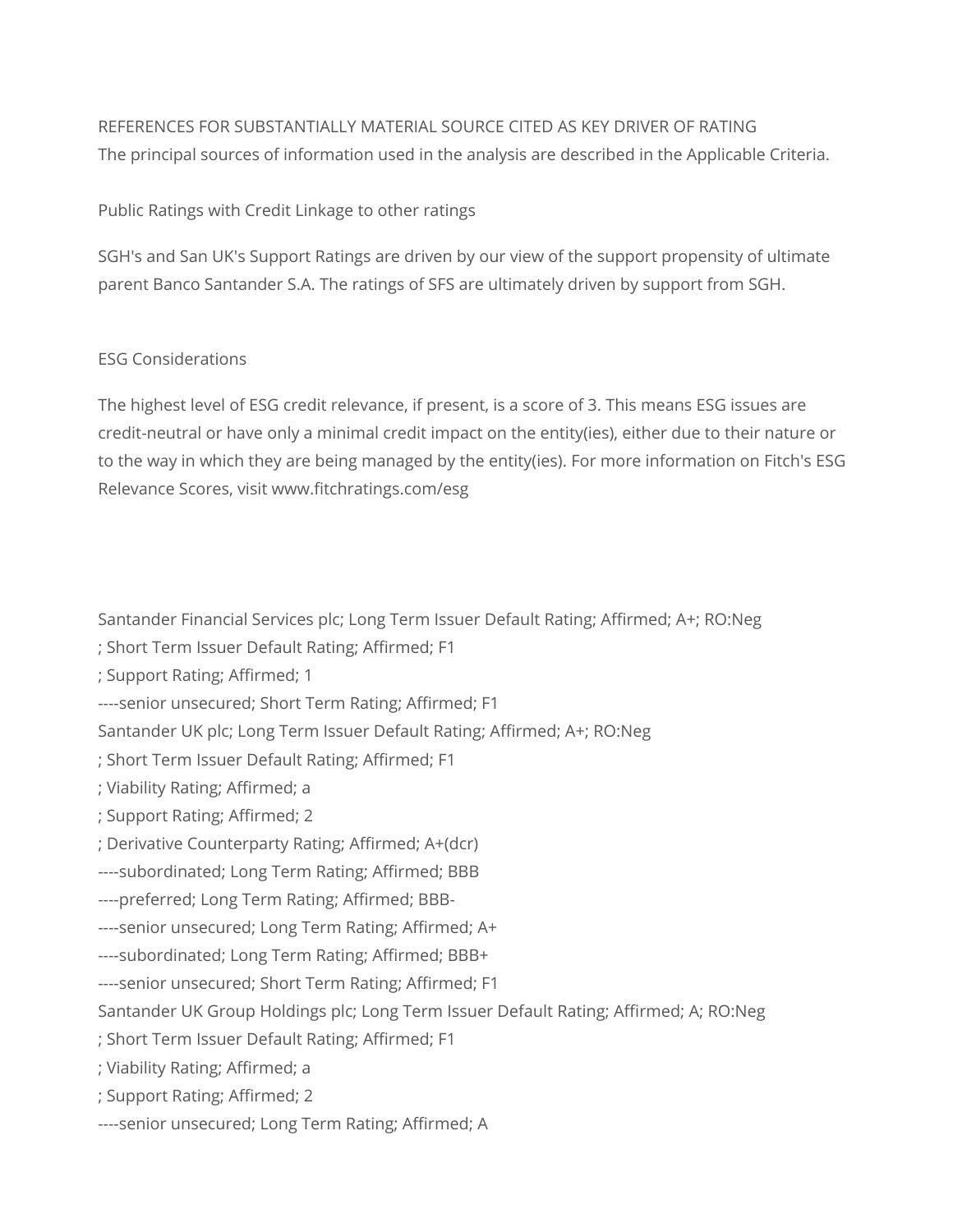REFERENCES FOR SUBSTANTIALLY MATERIAL SOURCE CITED AS KEY DRIVER OF RATING The principal sources of information used in the analysis are described in the Applicable Criteria.

Public Ratings with Credit Linkage to other ratings

SGH's and San UK's Support Ratings are driven by our view of the support propensity of ultimate parent Banco Santander S.A. The ratings of SFS are ultimately driven by support from SGH.

# ESG Considerations

The highest level of ESG credit relevance, if present, is a score of 3. This means ESG issues are credit-neutral or have only a minimal credit impact on the entity(ies), either due to their nature or to the way in which they are being managed by the entity(ies). For more information on Fitch's ESG Relevance Scores, visit www.fitchratings.com/esg

Santander Financial Services plc; Long Term Issuer Default Rating; Affirmed; A+; RO:Neg

; Short Term Issuer Default Rating; Affirmed; F1

; Support Rating; Affirmed; 1

----senior unsecured; Short Term Rating; Affirmed; F1

Santander UK plc; Long Term Issuer Default Rating; Affirmed; A+; RO:Neg

; Short Term Issuer Default Rating; Affirmed; F1

; Viability Rating; Affirmed; a

; Support Rating; Affirmed; 2

- ; Derivative Counterparty Rating; Affirmed; A+(dcr)
- ----subordinated; Long Term Rating; Affirmed; BBB
- ----preferred; Long Term Rating; Affirmed; BBB-

----senior unsecured; Long Term Rating; Affirmed; A+

----subordinated; Long Term Rating; Affirmed; BBB+

----senior unsecured; Short Term Rating; Affirmed; F1

Santander UK Group Holdings plc; Long Term Issuer Default Rating; Affirmed; A; RO:Neg

; Short Term Issuer Default Rating; Affirmed; F1

; Viability Rating; Affirmed; a

; Support Rating; Affirmed; 2

----senior unsecured; Long Term Rating; Affirmed; A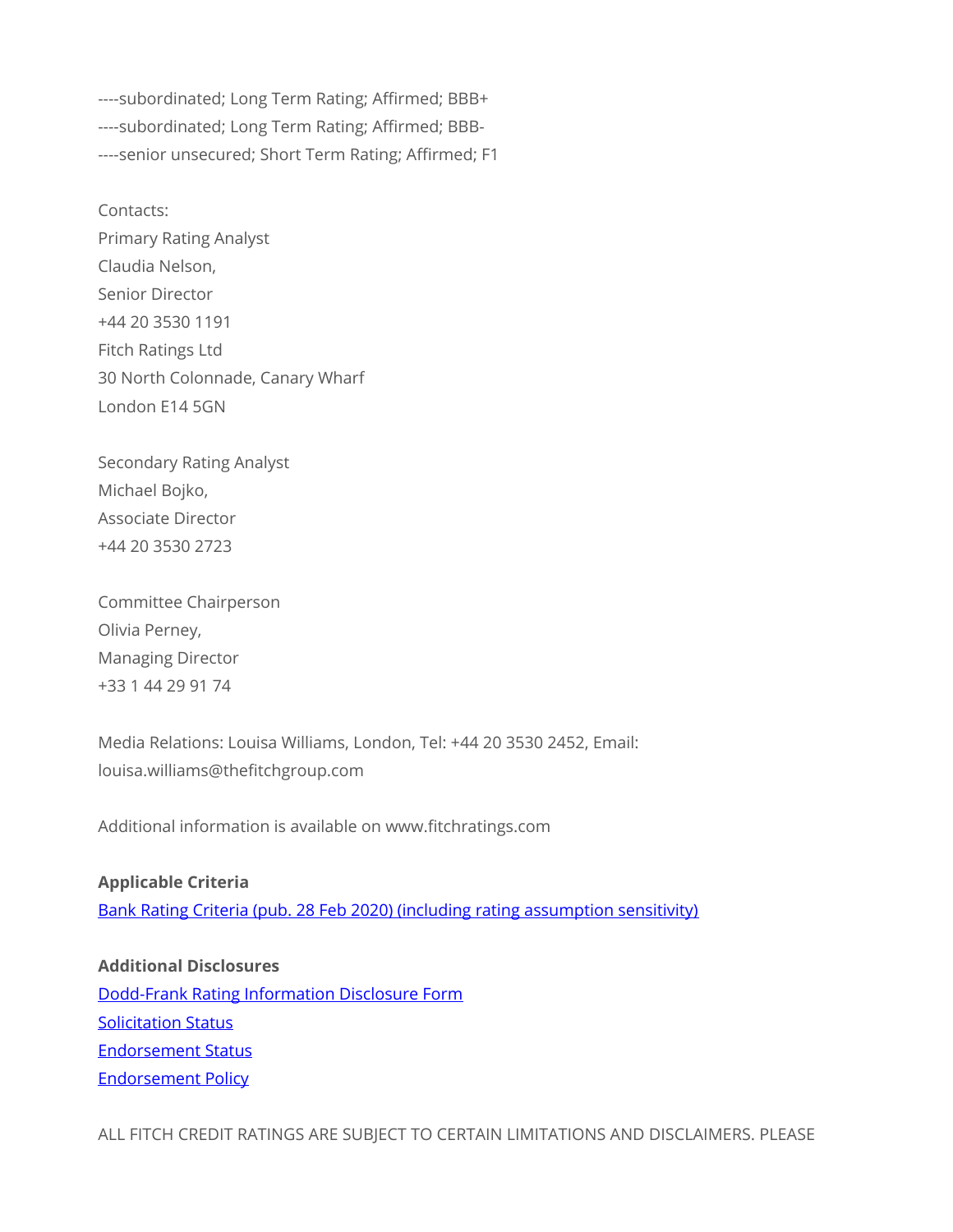----subordinated; Long Term Rating; Affirmed; BBB+ ----subordinated; Long Term Rating; Affirmed; BBB- ----senior unsecured; Short Term Rating; Affirmed; F1

Contacts: Primary Rating Analyst Claudia Nelson, Senior Director +44 20 3530 1191 Fitch Ratings Ltd 30 North Colonnade, Canary Wharf London E14 5GN

Secondary Rating Analyst Michael Bojko, Associate Director +44 20 3530 2723

Committee Chairperson Olivia Perney, Managing Director +33 1 44 29 91 74

Media Relations: Louisa Williams, London, Tel: +44 20 3530 2452, Email: louisa.williams@thefitchgroup.com

Additional information is available on www.fitchratings.com

#### **Applicable Criteria**

[Bank Rating Criteria \(pub. 28 Feb 2020\) \(including rating assumption sensitivity\)](https://app.fitchconnect.com/search/research/article/RPT_10110041)

#### **Additional Disclosures**

[Dodd-Frank Rating Information Disclosure Form](https://www.fitchratings.com/site/dodd-frank-disclosure/10135891) [Solicitation Status](https://www.fitchratings.com/site/pr/10135891#solicitation) [Endorsement Status](/app.fitchconnect.com/search/research/article/PR_10135891#endorsement_status) [Endorsement Policy](#page-9-0)

ALL FITCH CREDIT RATINGS ARE SUBJECT TO CERTAIN LIMITATIONS AND DISCLAIMERS. PLEASE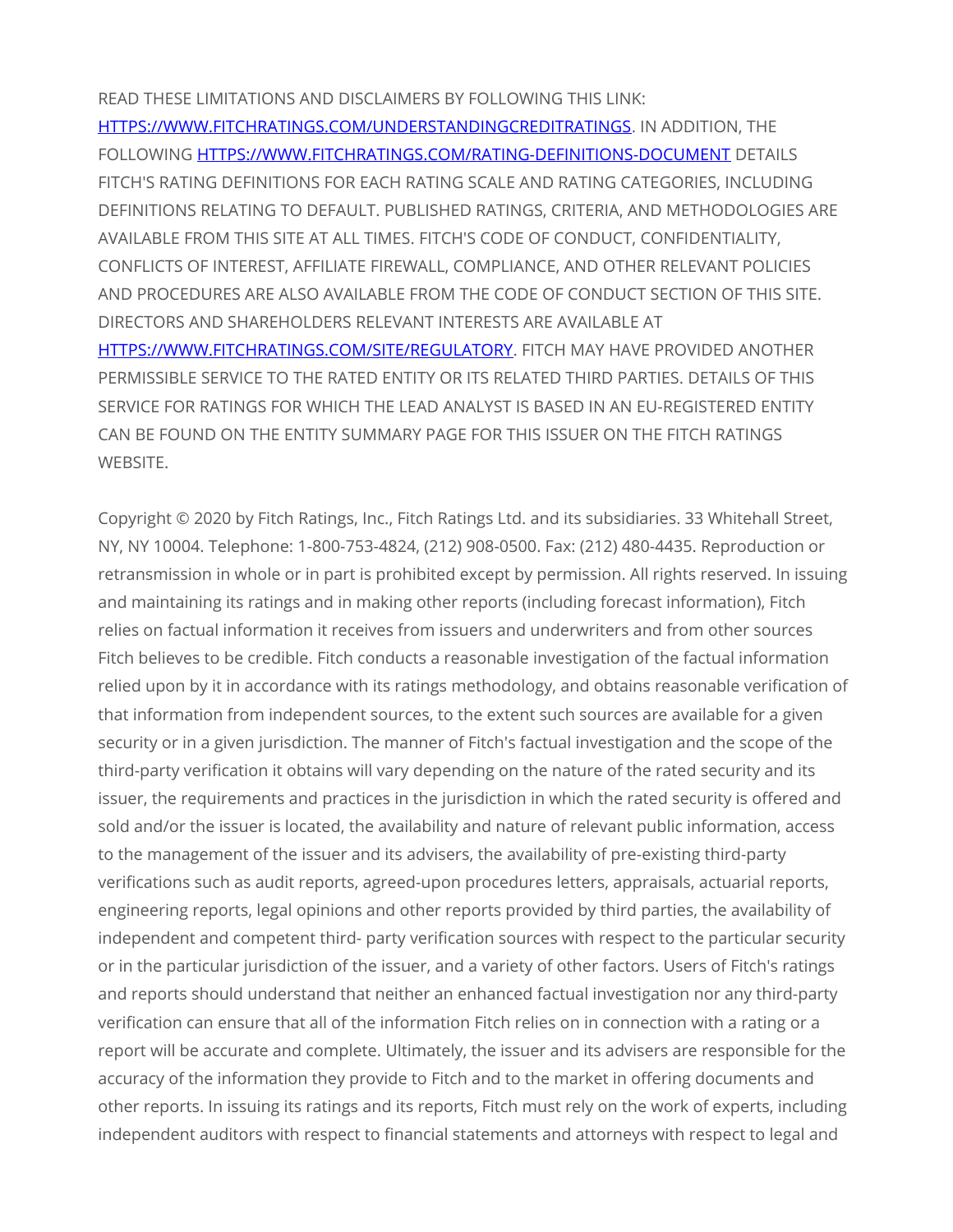READ THESE LIMITATIONS AND DISCLAIMERS BY FOLLOWING THIS LINK:

[HTTPS://WWW.FITCHRATINGS.COM/UNDERSTANDINGCREDITRATINGS.](https://www.fitchratings.com/UNDERSTANDINGCREDITRATINGS) IN ADDITION, THE FOLLOWING [HTTPS://WWW.FITCHRATINGS.COM/RATING-DEFINITIONS-DOCUMENT](https://www.fitchratings.com/rating-definitions-document) DETAILS FITCH'S RATING DEFINITIONS FOR EACH RATING SCALE AND RATING CATEGORIES, INCLUDING DEFINITIONS RELATING TO DEFAULT. PUBLISHED RATINGS, CRITERIA, AND METHODOLOGIES ARE AVAILABLE FROM THIS SITE AT ALL TIMES. FITCH'S CODE OF CONDUCT, CONFIDENTIALITY, CONFLICTS OF INTEREST, AFFILIATE FIREWALL, COMPLIANCE, AND OTHER RELEVANT POLICIES AND PROCEDURES ARE ALSO AVAILABLE FROM THE CODE OF CONDUCT SECTION OF THIS SITE. DIRECTORS AND SHAREHOLDERS RELEVANT INTERESTS ARE AVAILABLE AT [HTTPS://WWW.FITCHRATINGS.COM/SITE/REGULATORY.](https://www.fitchratings.com/site/regulatory) FITCH MAY HAVE PROVIDED ANOTHER PERMISSIBLE SERVICE TO THE RATED ENTITY OR ITS RELATED THIRD PARTIES. DETAILS OF THIS SERVICE FOR RATINGS FOR WHICH THE LEAD ANALYST IS BASED IN AN EU-REGISTERED ENTITY CAN BE FOUND ON THE ENTITY SUMMARY PAGE FOR THIS ISSUER ON THE FITCH RATINGS WEBSITE.

Copyright © 2020 by Fitch Ratings, Inc., Fitch Ratings Ltd. and its subsidiaries. 33 Whitehall Street, NY, NY 10004. Telephone: 1-800-753-4824, (212) 908-0500. Fax: (212) 480-4435. Reproduction or retransmission in whole or in part is prohibited except by permission. All rights reserved. In issuing and maintaining its ratings and in making other reports (including forecast information), Fitch relies on factual information it receives from issuers and underwriters and from other sources Fitch believes to be credible. Fitch conducts a reasonable investigation of the factual information relied upon by it in accordance with its ratings methodology, and obtains reasonable verification of that information from independent sources, to the extent such sources are available for a given security or in a given jurisdiction. The manner of Fitch's factual investigation and the scope of the third-party verification it obtains will vary depending on the nature of the rated security and its issuer, the requirements and practices in the jurisdiction in which the rated security is offered and sold and/or the issuer is located, the availability and nature of relevant public information, access to the management of the issuer and its advisers, the availability of pre-existing third-party verifications such as audit reports, agreed-upon procedures letters, appraisals, actuarial reports, engineering reports, legal opinions and other reports provided by third parties, the availability of independent and competent third- party verification sources with respect to the particular security or in the particular jurisdiction of the issuer, and a variety of other factors. Users of Fitch's ratings and reports should understand that neither an enhanced factual investigation nor any third-party verification can ensure that all of the information Fitch relies on in connection with a rating or a report will be accurate and complete. Ultimately, the issuer and its advisers are responsible for the accuracy of the information they provide to Fitch and to the market in offering documents and other reports. In issuing its ratings and its reports, Fitch must rely on the work of experts, including independent auditors with respect to financial statements and attorneys with respect to legal and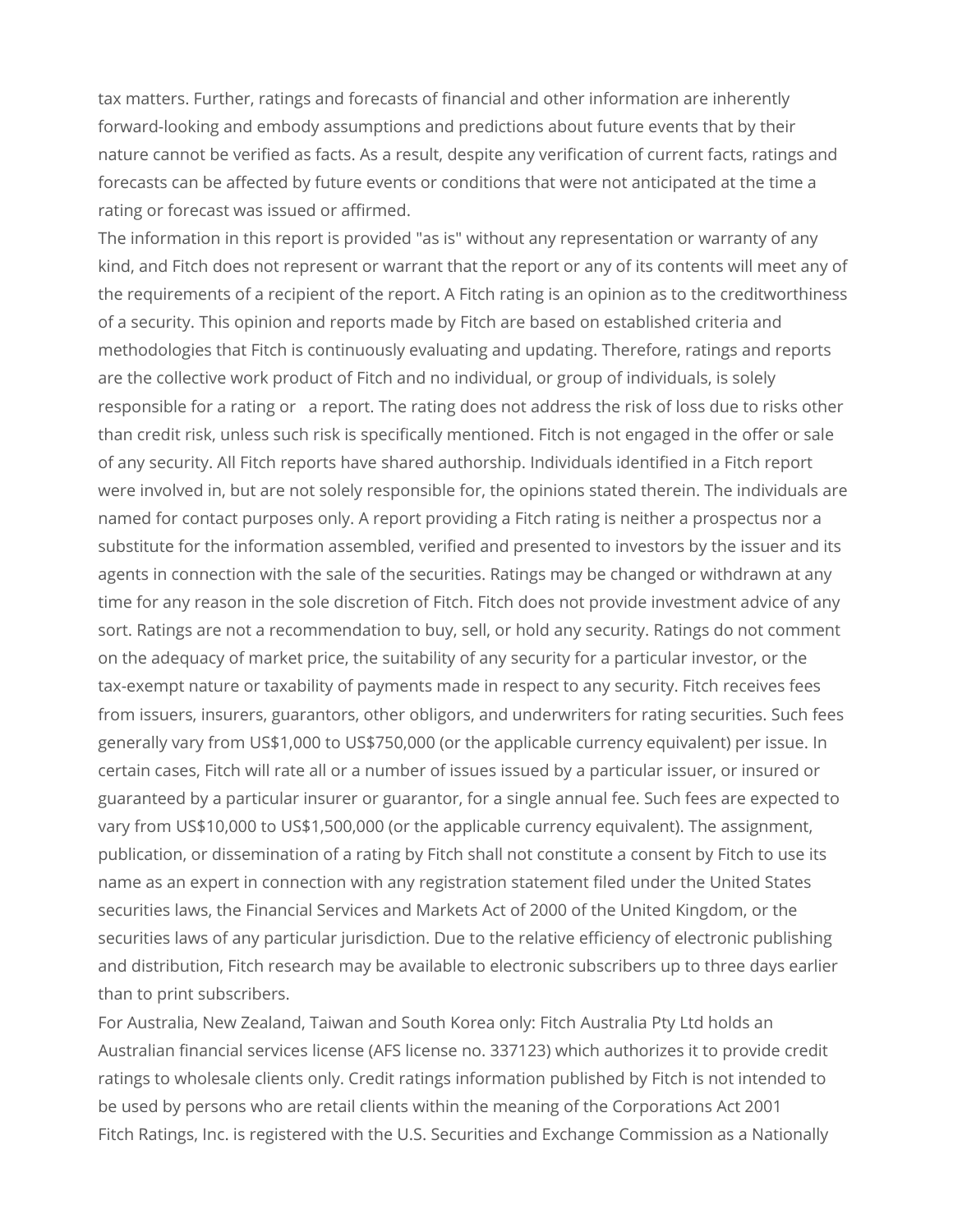tax matters. Further, ratings and forecasts of financial and other information are inherently forward-looking and embody assumptions and predictions about future events that by their nature cannot be verified as facts. As a result, despite any verification of current facts, ratings and forecasts can be affected by future events or conditions that were not anticipated at the time a rating or forecast was issued or affirmed.

The information in this report is provided "as is" without any representation or warranty of any kind, and Fitch does not represent or warrant that the report or any of its contents will meet any of the requirements of a recipient of the report. A Fitch rating is an opinion as to the creditworthiness of a security. This opinion and reports made by Fitch are based on established criteria and methodologies that Fitch is continuously evaluating and updating. Therefore, ratings and reports are the collective work product of Fitch and no individual, or group of individuals, is solely responsible for a rating or a report. The rating does not address the risk of loss due to risks other than credit risk, unless such risk is specifically mentioned. Fitch is not engaged in the offer or sale of any security. All Fitch reports have shared authorship. Individuals identified in a Fitch report were involved in, but are not solely responsible for, the opinions stated therein. The individuals are named for contact purposes only. A report providing a Fitch rating is neither a prospectus nor a substitute for the information assembled, verified and presented to investors by the issuer and its agents in connection with the sale of the securities. Ratings may be changed or withdrawn at any time for any reason in the sole discretion of Fitch. Fitch does not provide investment advice of any sort. Ratings are not a recommendation to buy, sell, or hold any security. Ratings do not comment on the adequacy of market price, the suitability of any security for a particular investor, or the tax-exempt nature or taxability of payments made in respect to any security. Fitch receives fees from issuers, insurers, guarantors, other obligors, and underwriters for rating securities. Such fees generally vary from US\$1,000 to US\$750,000 (or the applicable currency equivalent) per issue. In certain cases, Fitch will rate all or a number of issues issued by a particular issuer, or insured or guaranteed by a particular insurer or guarantor, for a single annual fee. Such fees are expected to vary from US\$10,000 to US\$1,500,000 (or the applicable currency equivalent). The assignment, publication, or dissemination of a rating by Fitch shall not constitute a consent by Fitch to use its name as an expert in connection with any registration statement filed under the United States securities laws, the Financial Services and Markets Act of 2000 of the United Kingdom, or the securities laws of any particular jurisdiction. Due to the relative efficiency of electronic publishing and distribution, Fitch research may be available to electronic subscribers up to three days earlier than to print subscribers.

For Australia, New Zealand, Taiwan and South Korea only: Fitch Australia Pty Ltd holds an Australian financial services license (AFS license no. 337123) which authorizes it to provide credit ratings to wholesale clients only. Credit ratings information published by Fitch is not intended to be used by persons who are retail clients within the meaning of the Corporations Act 2001 Fitch Ratings, Inc. is registered with the U.S. Securities and Exchange Commission as a Nationally